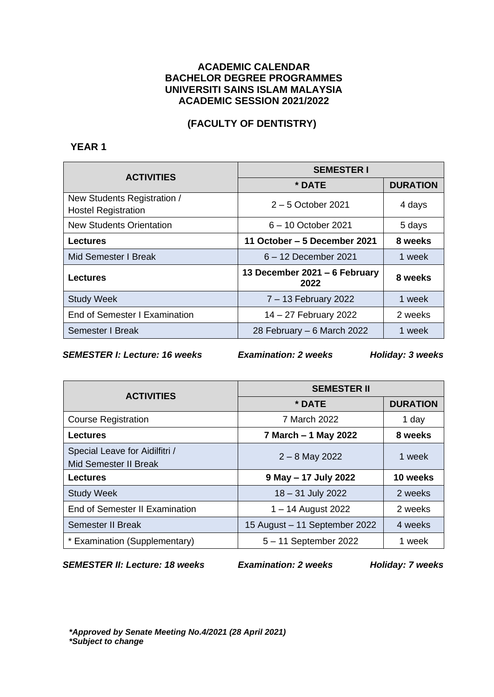### **ACADEMIC CALENDAR BACHELOR DEGREE PROGRAMMES UNIVERSITI SAINS ISLAM MALAYSIA ACADEMIC SESSION 2021/2022**

# **(FACULTY OF DENTISTRY)**

# **YEAR 1**

| <b>ACTIVITIES</b>                                         | <b>SEMESTER I</b>                     |                 |
|-----------------------------------------------------------|---------------------------------------|-----------------|
|                                                           | * DATE                                | <b>DURATION</b> |
| New Students Registration /<br><b>Hostel Registration</b> | $2-5$ October 2021                    | 4 days          |
| <b>New Students Orientation</b>                           | 6 - 10 October 2021                   | 5 days          |
| <b>Lectures</b>                                           | 11 October – 5 December 2021          | 8 weeks         |
| Mid Semester I Break                                      | 6 - 12 December 2021                  | 1 week          |
| <b>Lectures</b>                                           | 13 December 2021 – 6 February<br>2022 | 8 weeks         |
| <b>Study Week</b>                                         | 7 - 13 February 2022                  | 1 week          |
| End of Semester I Examination                             | 14 - 27 February 2022                 | 2 weeks         |
| Semester I Break                                          | 28 February - 6 March 2022            | 1 week          |

*SEMESTER I: Lecture: 16 weeks Examination: 2 weeks Holiday: 3 weeks*

| <b>ACTIVITIES</b>                                       | <b>SEMESTER II</b>            |                 |
|---------------------------------------------------------|-------------------------------|-----------------|
|                                                         | * DATE                        | <b>DURATION</b> |
| <b>Course Registration</b>                              | 7 March 2022                  | 1 day           |
| <b>Lectures</b>                                         | 7 March - 1 May 2022          | 8 weeks         |
| Special Leave for Aidilfitri /<br>Mid Semester II Break | $2 - 8$ May 2022              | 1 week          |
| <b>Lectures</b>                                         | 9 May - 17 July 2022          | 10 weeks        |
| <b>Study Week</b>                                       | 18 - 31 July 2022             | 2 weeks         |
| End of Semester II Examination                          | 1 – 14 August 2022            | 2 weeks         |
| <b>Semester II Break</b>                                | 15 August - 11 September 2022 | 4 weeks         |
| * Examination (Supplementary)                           | 5 - 11 September 2022         | 1 week          |

*SEMESTER II: Lecture: 18 weeks Examination: 2 weeks Holiday: 7 weeks*

*\*Approved by Senate Meeting No.4/2021 (28 April 2021) \*Subject to change*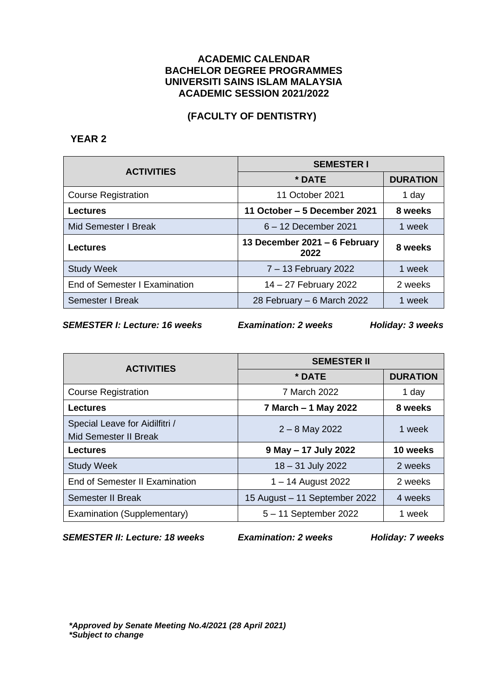### **ACADEMIC CALENDAR BACHELOR DEGREE PROGRAMMES UNIVERSITI SAINS ISLAM MALAYSIA ACADEMIC SESSION 2021/2022**

## **(FACULTY OF DENTISTRY)**

### **YEAR 2**

| <b>ACTIVITIES</b>             | <b>SEMESTER I</b>                     |                 |
|-------------------------------|---------------------------------------|-----------------|
|                               | * DATE                                | <b>DURATION</b> |
| <b>Course Registration</b>    | 11 October 2021                       | 1 day           |
| <b>Lectures</b>               | 11 October - 5 December 2021          | 8 weeks         |
| Mid Semester I Break          | 6 - 12 December 2021                  | 1 week          |
| <b>Lectures</b>               | 13 December 2021 - 6 February<br>2022 | 8 weeks         |
| <b>Study Week</b>             | 7 – 13 February 2022                  | 1 week          |
| End of Semester I Examination | 14 - 27 February 2022                 | 2 weeks         |
| Semester I Break              | 28 February - 6 March 2022            | 1 week          |

*SEMESTER I: Lecture: 16 weeks Examination: 2 weeks Holiday: 3 weeks*

| <b>ACTIVITIES</b>                                              | <b>SEMESTER II</b>            |                 |
|----------------------------------------------------------------|-------------------------------|-----------------|
|                                                                | * DATE                        | <b>DURATION</b> |
| <b>Course Registration</b>                                     | 7 March 2022                  | 1 day           |
| <b>Lectures</b>                                                | 7 March - 1 May 2022          | 8 weeks         |
| Special Leave for Aidilfitri /<br><b>Mid Semester II Break</b> | $2 - 8$ May 2022              | 1 week          |
| <b>Lectures</b>                                                | 9 May - 17 July 2022          | 10 weeks        |
| <b>Study Week</b>                                              | 18 - 31 July 2022             | 2 weeks         |
| End of Semester II Examination                                 | 1 – 14 August 2022            | 2 weeks         |
| <b>Semester II Break</b>                                       | 15 August - 11 September 2022 | 4 weeks         |
| Examination (Supplementary)                                    | 5 - 11 September 2022         | 1 week          |

*SEMESTER II: Lecture: 18 weeks Examination: 2 weeks Holiday: 7 weeks*